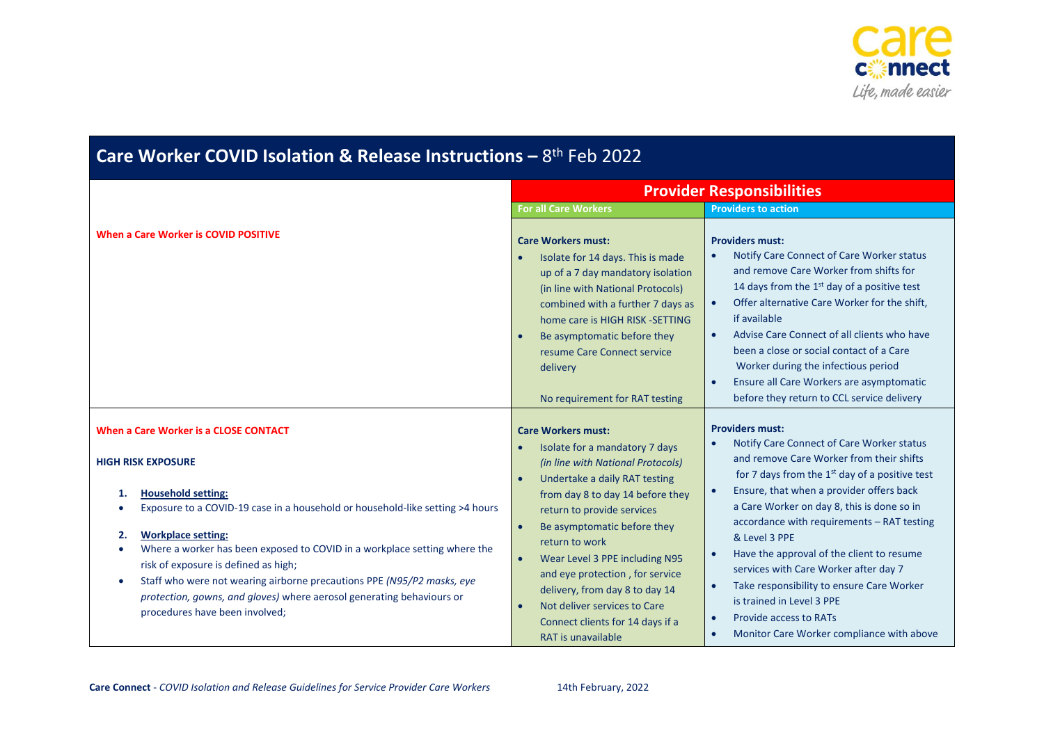

| Care Worker COVID Isolation & Release Instructions $-8$ <sup>th</sup> Feb 2022                                                                                                                                                                                                                                                                                                                                                                                                                          |                                                                                                                                                                                                                                                                                                                                                                                                     |                                                                                                                                                                                                                                                                                                                                                                                                                                                                                                             |  |
|---------------------------------------------------------------------------------------------------------------------------------------------------------------------------------------------------------------------------------------------------------------------------------------------------------------------------------------------------------------------------------------------------------------------------------------------------------------------------------------------------------|-----------------------------------------------------------------------------------------------------------------------------------------------------------------------------------------------------------------------------------------------------------------------------------------------------------------------------------------------------------------------------------------------------|-------------------------------------------------------------------------------------------------------------------------------------------------------------------------------------------------------------------------------------------------------------------------------------------------------------------------------------------------------------------------------------------------------------------------------------------------------------------------------------------------------------|--|
|                                                                                                                                                                                                                                                                                                                                                                                                                                                                                                         | <b>Provider Responsibilities</b>                                                                                                                                                                                                                                                                                                                                                                    |                                                                                                                                                                                                                                                                                                                                                                                                                                                                                                             |  |
|                                                                                                                                                                                                                                                                                                                                                                                                                                                                                                         | <b>For all Care Workers</b>                                                                                                                                                                                                                                                                                                                                                                         | <b>Providers to action</b>                                                                                                                                                                                                                                                                                                                                                                                                                                                                                  |  |
| When a Care Worker is COVID POSITIVE                                                                                                                                                                                                                                                                                                                                                                                                                                                                    | <b>Care Workers must:</b><br>Isolate for 14 days. This is made<br>up of a 7 day mandatory isolation<br>(in line with National Protocols)<br>combined with a further 7 days as<br>home care is HIGH RISK -SETTING<br>Be asymptomatic before they<br>resume Care Connect service<br>delivery<br>No requirement for RAT testing                                                                        | <b>Providers must:</b><br>Notify Care Connect of Care Worker status<br>$\bullet$<br>and remove Care Worker from shifts for<br>14 days from the 1 <sup>st</sup> day of a positive test<br>Offer alternative Care Worker for the shift,<br>$\bullet$<br>if available<br>Advise Care Connect of all clients who have<br>$\bullet$<br>been a close or social contact of a Care<br>Worker during the infectious period<br>Ensure all Care Workers are asymptomatic<br>before they return to CCL service delivery |  |
| When a Care Worker is a CLOSE CONTACT                                                                                                                                                                                                                                                                                                                                                                                                                                                                   | <b>Care Workers must:</b><br>Isolate for a mandatory 7 days                                                                                                                                                                                                                                                                                                                                         | <b>Providers must:</b><br>Notify Care Connect of Care Worker status<br>and remove Care Worker from their shifts                                                                                                                                                                                                                                                                                                                                                                                             |  |
| <b>HIGH RISK EXPOSURE</b><br><b>Household setting:</b><br>1.<br>Exposure to a COVID-19 case in a household or household-like setting >4 hours<br><b>Workplace setting:</b><br>2.<br>Where a worker has been exposed to COVID in a workplace setting where the<br>risk of exposure is defined as high;<br>Staff who were not wearing airborne precautions PPE (N95/P2 masks, eye<br>$\bullet$<br>protection, gowns, and gloves) where aerosol generating behaviours or<br>procedures have been involved; | (in line with National Protocols)<br>Undertake a daily RAT testing<br>from day 8 to day 14 before they<br>return to provide services<br>Be asymptomatic before they<br>return to work<br>Wear Level 3 PPE including N95<br>$\bullet$<br>and eye protection, for service<br>delivery, from day 8 to day 14<br>Not deliver services to Care<br>Connect clients for 14 days if a<br>RAT is unavailable | for 7 days from the $1st$ day of a positive test<br>Ensure, that when a provider offers back<br>$\bullet$<br>a Care Worker on day 8, this is done so in<br>accordance with requirements - RAT testing<br>& Level 3 PPE<br>Have the approval of the client to resume<br>$\bullet$<br>services with Care Worker after day 7<br>Take responsibility to ensure Care Worker<br>is trained in Level 3 PPE<br><b>Provide access to RATs</b><br>$\bullet$<br>Monitor Care Worker compliance with above<br>$\bullet$ |  |